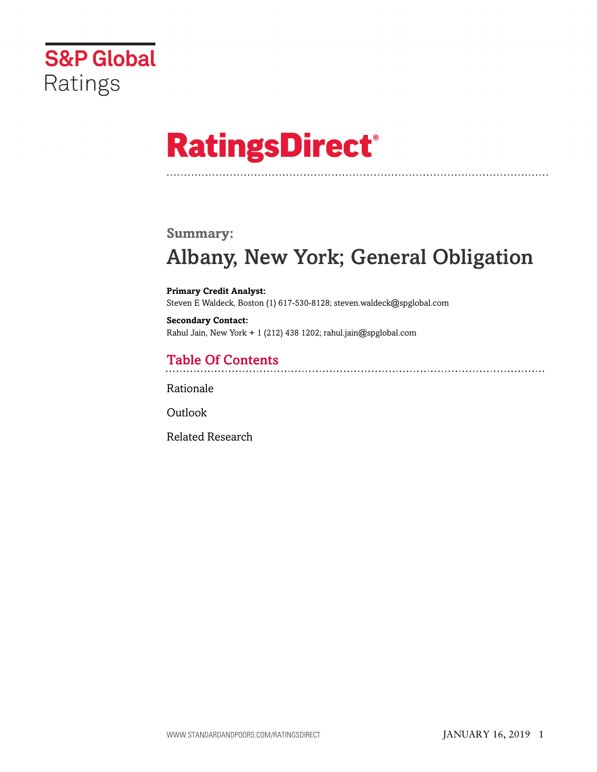

# **RatingsDirect®**

### **Summary:**

# Albany, New York; General Obligation

**Primary Credit Analyst:** Steven E Waldeck, Boston (1) 617-530-8128; steven.waldeck@spglobal.com

**Secondary Contact:** Rahul Jain, New York + 1 (212) 438 1202; rahul.jain@spglobal.com

# Table Of Contents

[Rationale](#page-1-0)

**[Outlook](#page-5-0)** 

[Related Research](#page-5-1)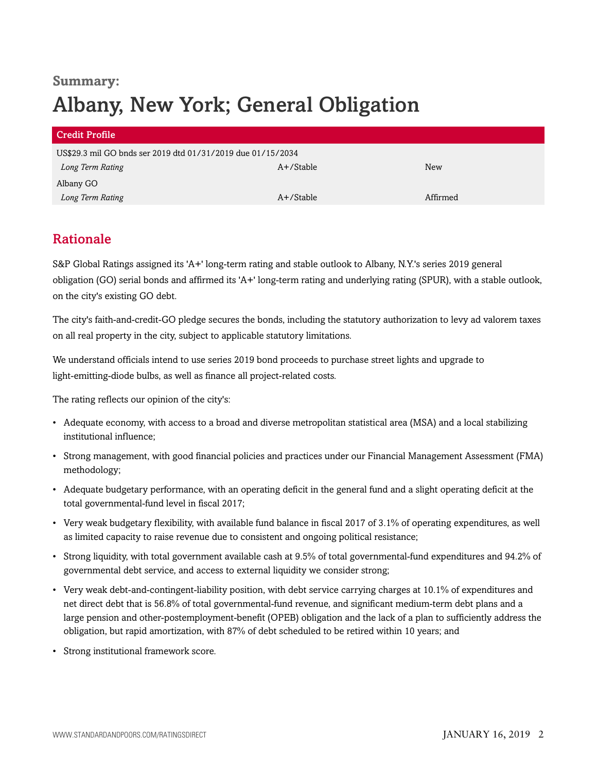# **Summary:** Albany, New York; General Obligation

| <b>Credit Profile</b>                                       |              |          |  |  |
|-------------------------------------------------------------|--------------|----------|--|--|
| US\$29.3 mil GO bnds ser 2019 dtd 01/31/2019 due 01/15/2034 |              |          |  |  |
| Long Term Rating                                            | A+/Stable    | New      |  |  |
| Albany GO                                                   |              |          |  |  |
| Long Term Rating                                            | $A+$ /Stable | Affirmed |  |  |

## <span id="page-1-0"></span>Rationale

S&P Global Ratings assigned its 'A+' long-term rating and stable outlook to Albany, N.Y.'s series 2019 general obligation (GO) serial bonds and affirmed its 'A+' long-term rating and underlying rating (SPUR), with a stable outlook, on the city's existing GO debt.

The city's faith-and-credit-GO pledge secures the bonds, including the statutory authorization to levy ad valorem taxes on all real property in the city, subject to applicable statutory limitations.

We understand officials intend to use series 2019 bond proceeds to purchase street lights and upgrade to light-emitting-diode bulbs, as well as finance all project-related costs.

The rating reflects our opinion of the city's:

- Adequate economy, with access to a broad and diverse metropolitan statistical area (MSA) and a local stabilizing institutional influence;
- Strong management, with good financial policies and practices under our Financial Management Assessment (FMA) methodology;
- Adequate budgetary performance, with an operating deficit in the general fund and a slight operating deficit at the total governmental-fund level in fiscal 2017;
- Very weak budgetary flexibility, with available fund balance in fiscal 2017 of 3.1% of operating expenditures, as well as limited capacity to raise revenue due to consistent and ongoing political resistance;
- Strong liquidity, with total government available cash at 9.5% of total governmental-fund expenditures and 94.2% of governmental debt service, and access to external liquidity we consider strong;
- Very weak debt-and-contingent-liability position, with debt service carrying charges at 10.1% of expenditures and net direct debt that is 56.8% of total governmental-fund revenue, and significant medium-term debt plans and a large pension and other-postemployment-benefit (OPEB) obligation and the lack of a plan to sufficiently address the obligation, but rapid amortization, with 87% of debt scheduled to be retired within 10 years; and
- Strong institutional framework score.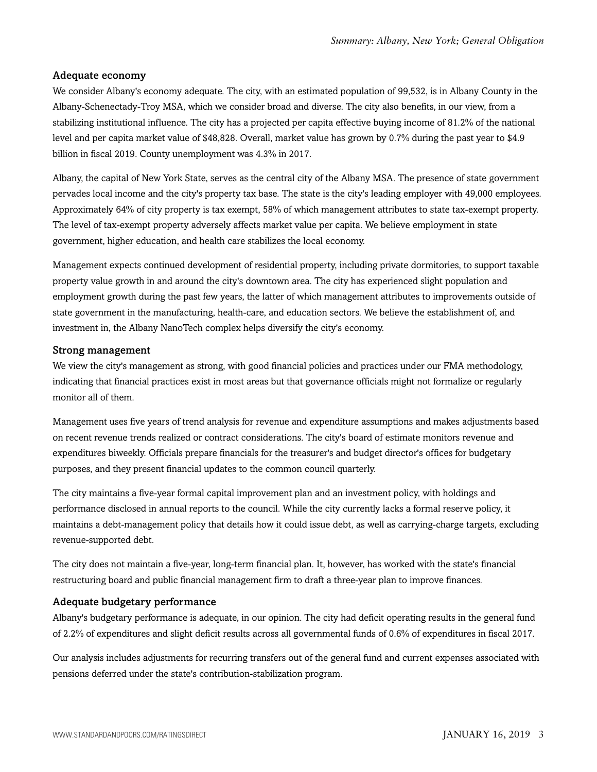#### Adequate economy

We consider Albany's economy adequate. The city, with an estimated population of 99,532, is in Albany County in the Albany-Schenectady-Troy MSA, which we consider broad and diverse. The city also benefits, in our view, from a stabilizing institutional influence. The city has a projected per capita effective buying income of 81.2% of the national level and per capita market value of \$48,828. Overall, market value has grown by 0.7% during the past year to \$4.9 billion in fiscal 2019. County unemployment was 4.3% in 2017.

Albany, the capital of New York State, serves as the central city of the Albany MSA. The presence of state government pervades local income and the city's property tax base. The state is the city's leading employer with 49,000 employees. Approximately 64% of city property is tax exempt, 58% of which management attributes to state tax-exempt property. The level of tax-exempt property adversely affects market value per capita. We believe employment in state government, higher education, and health care stabilizes the local economy.

Management expects continued development of residential property, including private dormitories, to support taxable property value growth in and around the city's downtown area. The city has experienced slight population and employment growth during the past few years, the latter of which management attributes to improvements outside of state government in the manufacturing, health-care, and education sectors. We believe the establishment of, and investment in, the Albany NanoTech complex helps diversify the city's economy.

#### Strong management

We view the city's management as strong, with good financial policies and practices under our FMA methodology, indicating that financial practices exist in most areas but that governance officials might not formalize or regularly monitor all of them.

Management uses five years of trend analysis for revenue and expenditure assumptions and makes adjustments based on recent revenue trends realized or contract considerations. The city's board of estimate monitors revenue and expenditures biweekly. Officials prepare financials for the treasurer's and budget director's offices for budgetary purposes, and they present financial updates to the common council quarterly.

The city maintains a five-year formal capital improvement plan and an investment policy, with holdings and performance disclosed in annual reports to the council. While the city currently lacks a formal reserve policy, it maintains a debt-management policy that details how it could issue debt, as well as carrying-charge targets, excluding revenue-supported debt.

The city does not maintain a five-year, long-term financial plan. It, however, has worked with the state's financial restructuring board and public financial management firm to draft a three-year plan to improve finances.

#### Adequate budgetary performance

Albany's budgetary performance is adequate, in our opinion. The city had deficit operating results in the general fund of 2.2% of expenditures and slight deficit results across all governmental funds of 0.6% of expenditures in fiscal 2017.

Our analysis includes adjustments for recurring transfers out of the general fund and current expenses associated with pensions deferred under the state's contribution-stabilization program.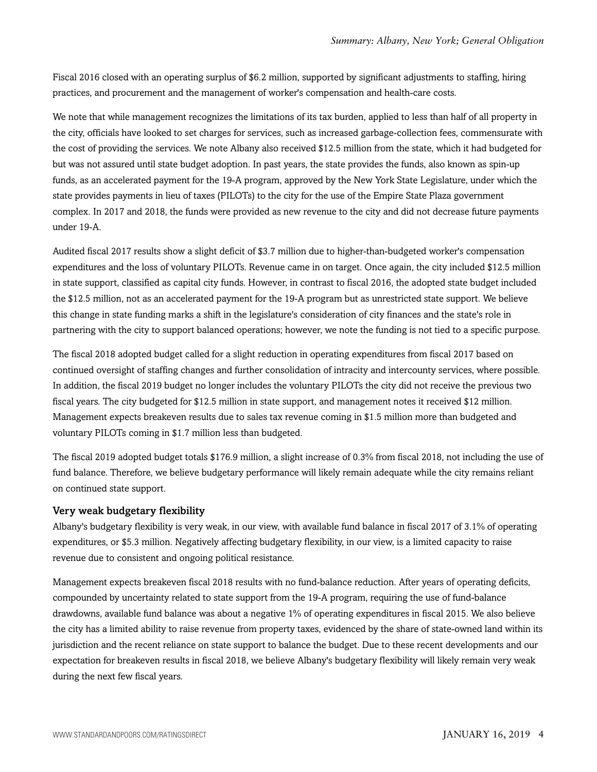Fiscal 2016 closed with an operating surplus of \$6.2 million, supported by significant adjustments to staffing, hiring practices, and procurement and the management of worker's compensation and health-care costs.

We note that while management recognizes the limitations of its tax burden, applied to less than half of all property in the city, officials have looked to set charges for services, such as increased garbage-collection fees, commensurate with the cost of providing the services. We note Albany also received \$12.5 million from the state, which it had budgeted for but was not assured until state budget adoption. In past years, the state provides the funds, also known as spin-up funds, as an accelerated payment for the 19-A program, approved by the New York State Legislature, under which the state provides payments in lieu of taxes (PILOTs) to the city for the use of the Empire State Plaza government complex. In 2017 and 2018, the funds were provided as new revenue to the city and did not decrease future payments under 19-A.

Audited fiscal 2017 results show a slight deficit of \$3.7 million due to higher-than-budgeted worker's compensation expenditures and the loss of voluntary PILOTs. Revenue came in on target. Once again, the city included \$12.5 million in state support, classified as capital city funds. However, in contrast to fiscal 2016, the adopted state budget included the \$12.5 million, not as an accelerated payment for the 19-A program but as unrestricted state support. We believe this change in state funding marks a shift in the legislature's consideration of city finances and the state's role in partnering with the city to support balanced operations; however, we note the funding is not tied to a specific purpose.

The fiscal 2018 adopted budget called for a slight reduction in operating expenditures from fiscal 2017 based on continued oversight of staffing changes and further consolidation of intracity and intercounty services, where possible. In addition, the fiscal 2019 budget no longer includes the voluntary PILOTs the city did not receive the previous two fiscal years. The city budgeted for \$12.5 million in state support, and management notes it received \$12 million. Management expects breakeven results due to sales tax revenue coming in \$1.5 million more than budgeted and voluntary PILOTs coming in \$1.7 million less than budgeted.

The fiscal 2019 adopted budget totals \$176.9 million, a slight increase of 0.3% from fiscal 2018, not including the use of fund balance. Therefore, we believe budgetary performance will likely remain adequate while the city remains reliant on continued state support.

#### Very weak budgetary flexibility

Albany's budgetary flexibility is very weak, in our view, with available fund balance in fiscal 2017 of 3.1% of operating expenditures, or \$5.3 million. Negatively affecting budgetary flexibility, in our view, is a limited capacity to raise revenue due to consistent and ongoing political resistance.

Management expects breakeven fiscal 2018 results with no fund-balance reduction. After years of operating deficits, compounded by uncertainty related to state support from the 19-A program, requiring the use of fund-balance drawdowns, available fund balance was about a negative 1% of operating expenditures in fiscal 2015. We also believe the city has a limited ability to raise revenue from property taxes, evidenced by the share of state-owned land within its jurisdiction and the recent reliance on state support to balance the budget. Due to these recent developments and our expectation for breakeven results in fiscal 2018, we believe Albany's budgetary flexibility will likely remain very weak during the next few fiscal years.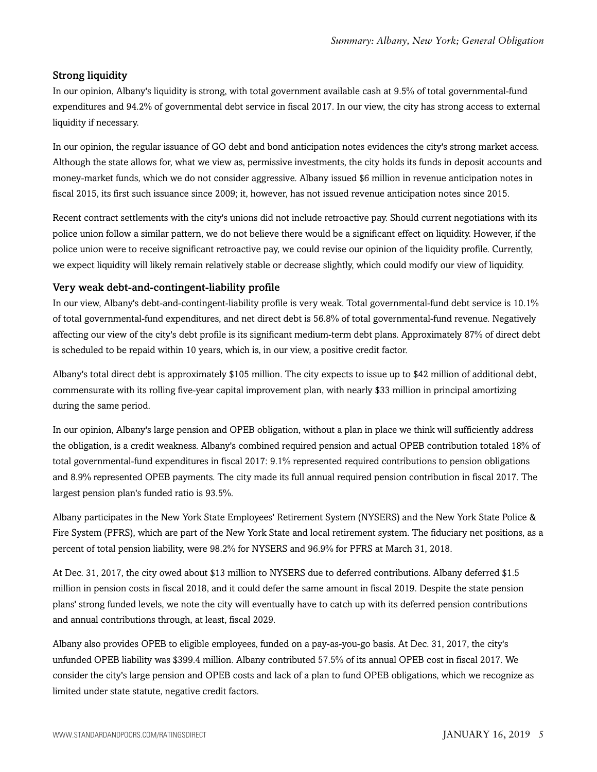#### Strong liquidity

In our opinion, Albany's liquidity is strong, with total government available cash at 9.5% of total governmental-fund expenditures and 94.2% of governmental debt service in fiscal 2017. In our view, the city has strong access to external liquidity if necessary.

In our opinion, the regular issuance of GO debt and bond anticipation notes evidences the city's strong market access. Although the state allows for, what we view as, permissive investments, the city holds its funds in deposit accounts and money-market funds, which we do not consider aggressive. Albany issued \$6 million in revenue anticipation notes in fiscal 2015, its first such issuance since 2009; it, however, has not issued revenue anticipation notes since 2015.

Recent contract settlements with the city's unions did not include retroactive pay. Should current negotiations with its police union follow a similar pattern, we do not believe there would be a significant effect on liquidity. However, if the police union were to receive significant retroactive pay, we could revise our opinion of the liquidity profile. Currently, we expect liquidity will likely remain relatively stable or decrease slightly, which could modify our view of liquidity.

#### Very weak debt-and-contingent-liability profile

In our view, Albany's debt-and-contingent-liability profile is very weak. Total governmental-fund debt service is 10.1% of total governmental-fund expenditures, and net direct debt is 56.8% of total governmental-fund revenue. Negatively affecting our view of the city's debt profile is its significant medium-term debt plans. Approximately 87% of direct debt is scheduled to be repaid within 10 years, which is, in our view, a positive credit factor.

Albany's total direct debt is approximately \$105 million. The city expects to issue up to \$42 million of additional debt, commensurate with its rolling five-year capital improvement plan, with nearly \$33 million in principal amortizing during the same period.

In our opinion, Albany's large pension and OPEB obligation, without a plan in place we think will sufficiently address the obligation, is a credit weakness. Albany's combined required pension and actual OPEB contribution totaled 18% of total governmental-fund expenditures in fiscal 2017: 9.1% represented required contributions to pension obligations and 8.9% represented OPEB payments. The city made its full annual required pension contribution in fiscal 2017. The largest pension plan's funded ratio is 93.5%.

Albany participates in the New York State Employees' Retirement System (NYSERS) and the New York State Police & Fire System (PFRS), which are part of the New York State and local retirement system. The fiduciary net positions, as a percent of total pension liability, were 98.2% for NYSERS and 96.9% for PFRS at March 31, 2018.

At Dec. 31, 2017, the city owed about \$13 million to NYSERS due to deferred contributions. Albany deferred \$1.5 million in pension costs in fiscal 2018, and it could defer the same amount in fiscal 2019. Despite the state pension plans' strong funded levels, we note the city will eventually have to catch up with its deferred pension contributions and annual contributions through, at least, fiscal 2029.

Albany also provides OPEB to eligible employees, funded on a pay-as-you-go basis. At Dec. 31, 2017, the city's unfunded OPEB liability was \$399.4 million. Albany contributed 57.5% of its annual OPEB cost in fiscal 2017. We consider the city's large pension and OPEB costs and lack of a plan to fund OPEB obligations, which we recognize as limited under state statute, negative credit factors.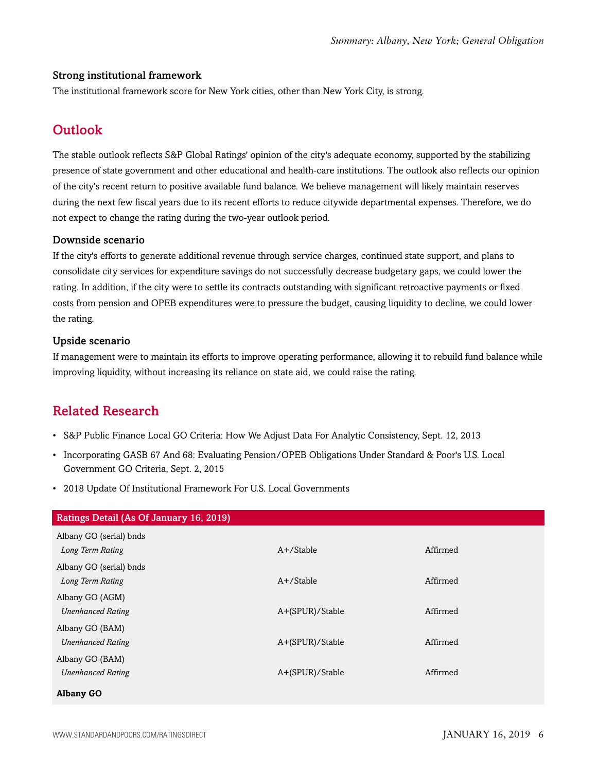#### Strong institutional framework

<span id="page-5-0"></span>The institutional framework score for New York cities, other than New York City, is strong.

# **Outlook**

The stable outlook reflects S&P Global Ratings' opinion of the city's adequate economy, supported by the stabilizing presence of state government and other educational and health-care institutions. The outlook also reflects our opinion of the city's recent return to positive available fund balance. We believe management will likely maintain reserves during the next few fiscal years due to its recent efforts to reduce citywide departmental expenses. Therefore, we do not expect to change the rating during the two-year outlook period.

#### Downside scenario

If the city's efforts to generate additional revenue through service charges, continued state support, and plans to consolidate city services for expenditure savings do not successfully decrease budgetary gaps, we could lower the rating. In addition, if the city were to settle its contracts outstanding with significant retroactive payments or fixed costs from pension and OPEB expenditures were to pressure the budget, causing liquidity to decline, we could lower the rating.

#### Upside scenario

If management were to maintain its efforts to improve operating performance, allowing it to rebuild fund balance while improving liquidity, without increasing its reliance on state aid, we could raise the rating.

## <span id="page-5-1"></span>Related Research

- S&P Public Finance Local GO Criteria: How We Adjust Data For Analytic Consistency, Sept. 12, 2013
- Incorporating GASB 67 And 68: Evaluating Pension/OPEB Obligations Under Standard & Poor's U.S. Local Government GO Criteria, Sept. 2, 2015
- 2018 Update Of Institutional Framework For U.S. Local Governments

| Ratings Detail (As Of January 16, 2019) |                 |          |
|-----------------------------------------|-----------------|----------|
| Albany GO (serial) bnds                 |                 |          |
| Long Term Rating                        | $A+$ /Stable    | Affirmed |
| Albany GO (serial) bnds                 |                 |          |
| Long Term Rating                        | $A+$ /Stable    | Affirmed |
| Albany GO (AGM)                         |                 |          |
| <b>Unenhanced Rating</b>                | A+(SPUR)/Stable | Affirmed |
| Albany GO (BAM)                         |                 |          |
| <b>Unenhanced Rating</b>                | A+(SPUR)/Stable | Affirmed |
| Albany GO (BAM)                         |                 |          |
| <b>Unenhanced Rating</b>                | A+(SPUR)/Stable | Affirmed |
| <b>Albany GO</b>                        |                 |          |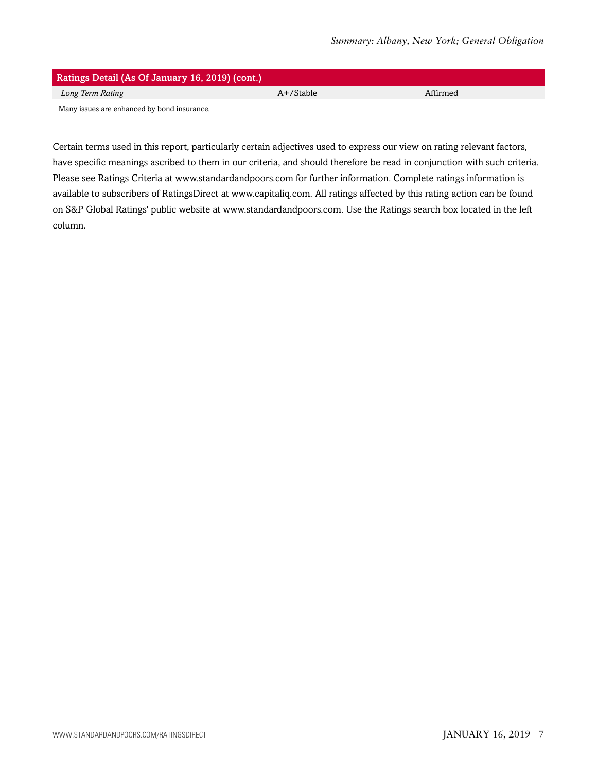| Ratings Detail (As Of January 16, 2019) (cont.) |              |          |  |  |
|-------------------------------------------------|--------------|----------|--|--|
| Long Term Rating                                | $A+$ /Stable | Affirmed |  |  |
| Many issues are enhanced by bond insurance.     |              |          |  |  |

Certain terms used in this report, particularly certain adjectives used to express our view on rating relevant factors, have specific meanings ascribed to them in our criteria, and should therefore be read in conjunction with such criteria. Please see Ratings Criteria at www.standardandpoors.com for further information. Complete ratings information is available to subscribers of RatingsDirect at www.capitaliq.com. All ratings affected by this rating action can be found on S&P Global Ratings' public website at www.standardandpoors.com. Use the Ratings search box located in the left column.